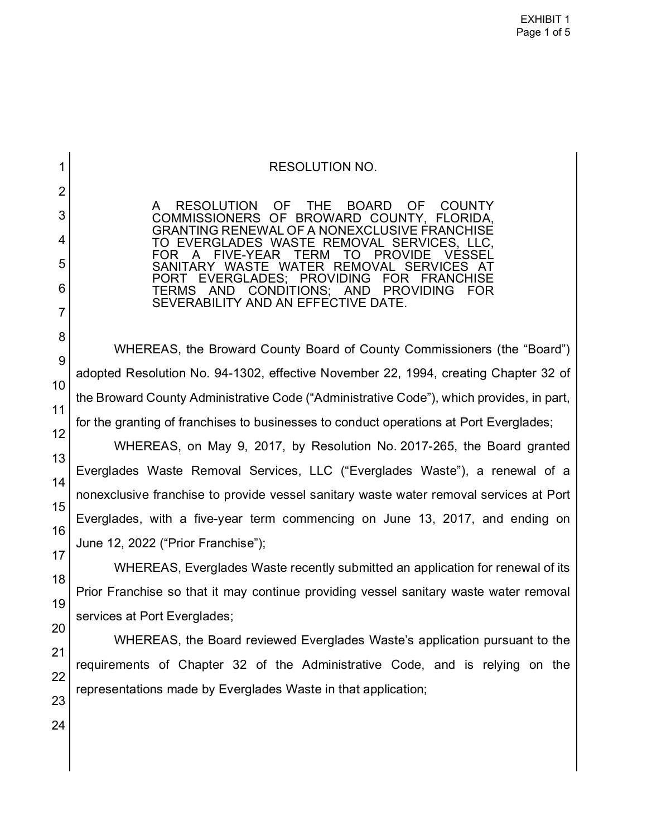## RESOLUTION NO.

A RESOLUTION OF THE BOARD OF COUNTY<br>COMMISSIONERS OF BROWARD COUNTY FLORIDA. COMMISSIONERS OF BROWARD COUNTY, GRANTING RENEWAL OF A NONEXCLUSIVE FRANCHISE TO EVERGLADES WASTE REMOVAL SERVICES, LLC, FOR A FIVE-YEAR TERM TO PROVIDE VESSEL SANITARY WASTE WATER REMOVAL SERVICES AT PORT EVERGLADES; PROVIDING FOR FRANCHISE TERMS AND CONDITIONS; SEVERABILITY AND AN EFFECTIVE DATE.

WHEREAS, the Broward County Board of County Commissioners (the "Board") adopted Resolution No. 94-1302, effective November 22, 1994, creating Chapter 32 of the Broward County Administrative Code ("Administrative Code"), which provides, in part, for the granting of franchises to businesses to conduct operations at Port Everglades;

WHEREAS, on May 9, 2017, by Resolution No. 2017-265, the Board granted Everglades Waste Removal Services, LLC ("Everglades Waste"), a renewal of a nonexclusive franchise to provide vessel sanitary waste water removal services at Port Everglades, with a five-year term commencing on June 13, 2017, and ending on June 12, 2022 ("Prior Franchise");

WHEREAS, Everglades Waste recently submitted an application for renewal of its Prior Franchise so that it may continue providing vessel sanitary waste water removal services at Port Everglades;

WHEREAS, the Board reviewed Everglades Waste's application pursuant to the requirements of Chapter 32 of the Administrative Code, and is relying on the representations made by Everglades Waste in that application;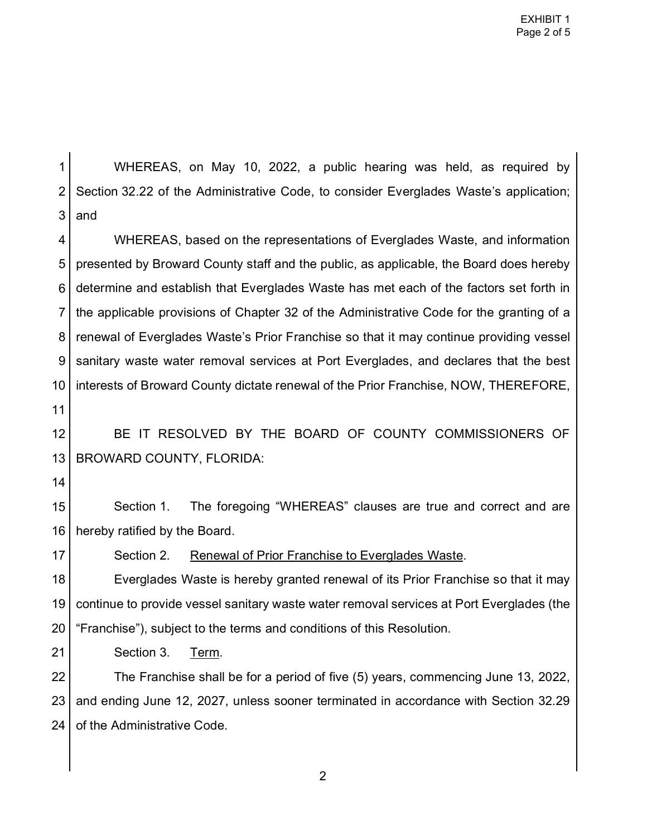1 2 3 4 5 6 7 8 9 10 11 12 13 14 15 16 17 18 19 20 21 22 23 24 WHEREAS, on May 10, 2022, a public hearing was held, as required by Section 32.22 of the Administrative Code, to consider Everglades Waste's application; and WHEREAS, based on the representations of Everglades Waste, and information presented by Broward County staff and the public, as applicable, the Board does hereby determine and establish that Everglades Waste has met each of the factors set forth in the applicable provisions of Chapter 32 of the Administrative Code for the granting of a renewal of Everglades Waste's Prior Franchise so that it may continue providing vessel sanitary waste water removal services at Port Everglades, and declares that the best interests of Broward County dictate renewal of the Prior Franchise, NOW, THEREFORE, BE IT RESOLVED BY THE BOARD OF COUNTY COMMISSIONERS OF BROWARD COUNTY, FLORIDA: Section 1. The foregoing "WHEREAS" clauses are true and correct and are hereby ratified by the Board. Section 2. Renewal of Prior Franchise to Everglades Waste. Everglades Waste is hereby granted renewal of its Prior Franchise so that it may continue to provide vessel sanitary waste water removal services at Port Everglades (the "Franchise"), subject to the terms and conditions of this Resolution. Section 3. Term. The Franchise shall be for a period of five (5) years, commencing June 13, 2022, and ending June 12, 2027, unless sooner terminated in accordance with Section 32.29 of the Administrative Code.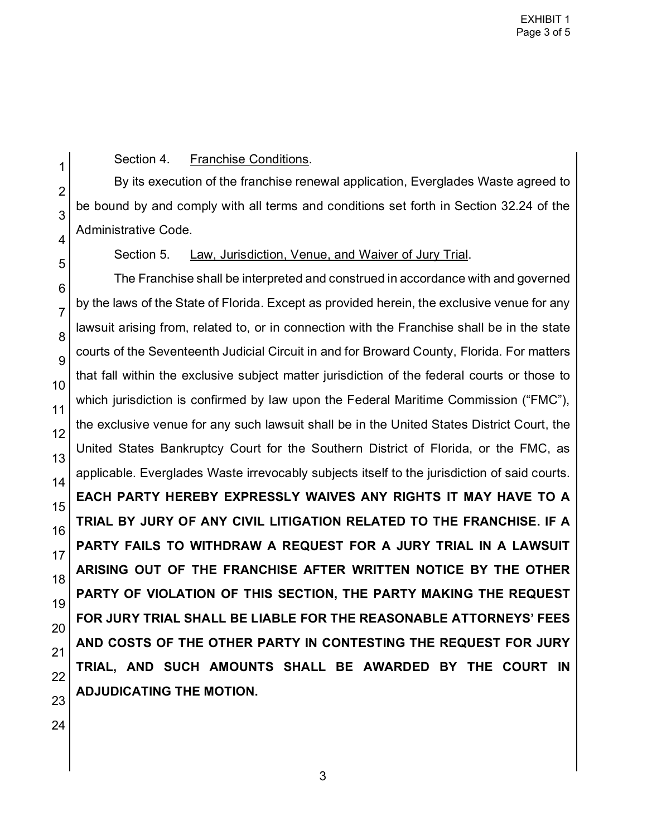Section 4. Franchise Conditions.

By its execution of the franchise renewal application, Everglades Waste agreed to be bound by and comply with all terms and conditions set forth in Section 32.24 of the Administrative Code.

Section 5. Law, Jurisdiction, Venue, and Waiver of Jury Trial.

The Franchise shall be interpreted and construed in accordance with and governed by the laws of the State of Florida. Except as provided herein, the exclusive venue for any lawsuit arising from, related to, or in connection with the Franchise shall be in the state courts of the Seventeenth Judicial Circuit in and for Broward County, Florida. For matters that fall within the exclusive subject matter jurisdiction of the federal courts or those to which jurisdiction is confirmed by law upon the Federal Maritime Commission ("FMC"), the exclusive venue for any such lawsuit shall be in the United States District Court, the United States Bankruptcy Court for the Southern District of Florida, or the FMC, as applicable. Everglades Waste irrevocably subjects itself to the jurisdiction of said courts. **EACH PARTY HEREBY EXPRESSLY WAIVES ANY RIGHTS IT MAY HAVE TO A TRIAL BY JURY OF ANY CIVIL LITIGATION RELATED TO THE FRANCHISE. IF A PARTY FAILS TO WITHDRAW A REQUEST FOR A JURY TRIAL IN A LAWSUIT ARISING OUT OF THE FRANCHISE AFTER WRITTEN NOTICE BY THE OTHER PARTY OF VIOLATION OF THIS SECTION, THE PARTY MAKING THE REQUEST FOR JURY TRIAL SHALL BE LIABLE FOR THE REASONABLE ATTORNEYS' FEES AND COSTS OF THE OTHER PARTY IN CONTESTING THE REQUEST FOR JURY TRIAL, AND SUCH AMOUNTS SHALL BE AWARDED BY THE COURT IN ADJUDICATING THE MOTION.** 

3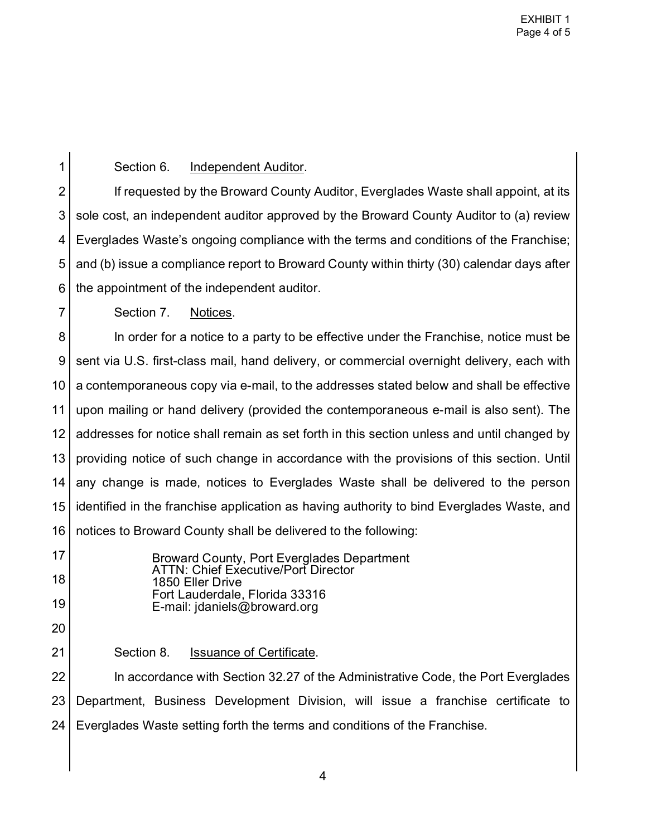1

7

## Section 6. Independent Auditor.

2 3 4 5 6 If requested by the Broward County Auditor, Everglades Waste shall appoint, at its sole cost, an independent auditor approved by the Broward County Auditor to (a) review Everglades Waste's ongoing compliance with the terms and conditions of the Franchise; and (b) issue a compliance report to Broward County within thirty (30) calendar days after the appointment of the independent auditor.

Section 7. Notices.

8 9 10 11 12 13 14 15 16 In order for a notice to a party to be effective under the Franchise, notice must be sent via U.S. first-class mail, hand delivery, or commercial overnight delivery, each with a contemporaneous copy via e-mail, to the addresses stated below and shall be effective upon mailing or hand delivery (provided the contemporaneous e-mail is also sent). The addresses for notice shall remain as set forth in this section unless and until changed by providing notice of such change in accordance with the provisions of this section. Until any change is made, notices to Everglades Waste shall be delivered to the person identified in the franchise application as having authority to bind Everglades Waste, and notices to Broward County shall be delivered to the following:

17 18 19 Broward County, Port Everglades Department ATTN: Chief Executive/Port Director 1850 Eller Drive Fort Lauderdale, Florida 33316 E-mail: jdaniels@broward.org

20 21

Section 8. Issuance of Certificate.

22 23 24 In accordance with Section 32.27 of the Administrative Code, the Port Everglades Department, Business Development Division, will issue a franchise certificate to Everglades Waste setting forth the terms and conditions of the Franchise.